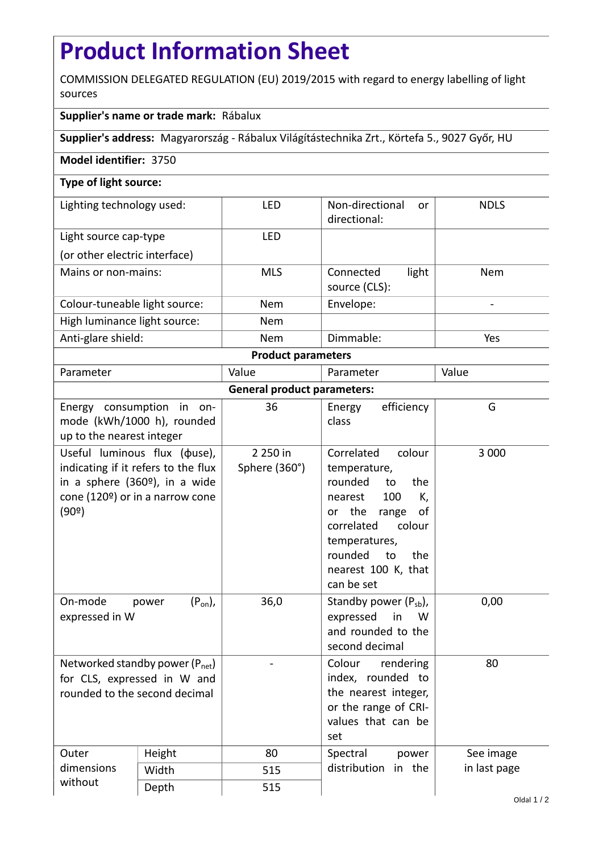## **Product Information Sheet**

COMMISSION DELEGATED REGULATION (EU) 2019/2015 with regard to energy labelling of light sources

## **Supplier's name or trade mark:** Rábalux

**Supplier's address:** Magyarország - Rábalux Világítástechnika Zrt., Körtefa 5., 9027 Győr, HU

## **Model identifier:** 3750

## **Type of light source:**

| Lighting technology used:     | LFD        | Non-directional<br><sub>or</sub><br>directional: | <b>NDLS</b> |  |  |
|-------------------------------|------------|--------------------------------------------------|-------------|--|--|
| Light source cap-type         | LFD        |                                                  |             |  |  |
| (or other electric interface) |            |                                                  |             |  |  |
| Mains or non-mains:           | <b>MLS</b> | light<br>Connected<br>source (CLS):              | <b>Nem</b>  |  |  |
| Colour-tuneable light source: | <b>Nem</b> | Envelope:                                        |             |  |  |
| High luminance light source:  | <b>Nem</b> |                                                  |             |  |  |
| Anti-glare shield:            | <b>Nem</b> | Dimmable:                                        | Yes         |  |  |
| <b>Product parameters</b>     |            |                                                  |             |  |  |

| Parameter                          |                                                                                                                                                             | Value                     | Parameter                                                                                                                                                                                                        | Value        |  |  |
|------------------------------------|-------------------------------------------------------------------------------------------------------------------------------------------------------------|---------------------------|------------------------------------------------------------------------------------------------------------------------------------------------------------------------------------------------------------------|--------------|--|--|
| <b>General product parameters:</b> |                                                                                                                                                             |                           |                                                                                                                                                                                                                  |              |  |  |
| up to the nearest integer          | Energy consumption in on-<br>mode (kWh/1000 h), rounded                                                                                                     | 36                        | efficiency<br>Energy<br>class                                                                                                                                                                                    | G            |  |  |
| (90°)                              | Useful luminous flux ( $\phi$ use),<br>indicating if it refers to the flux<br>in a sphere (360 <sup>o</sup> ), in a wide<br>cone (120º) or in a narrow cone | 2 250 in<br>Sphere (360°) | Correlated<br>colour<br>temperature,<br>rounded<br>to<br>the<br>100<br>K,<br>nearest<br>or the range<br>of<br>correlated<br>colour<br>temperatures,<br>rounded<br>to<br>the<br>nearest 100 K, that<br>can be set | 3 0 0 0      |  |  |
| On-mode<br>expressed in W          | $(P_{on})$ ,<br>power                                                                                                                                       | 36,0                      | Standby power $(P_{sb})$ ,<br>expressed<br>in<br>W<br>and rounded to the<br>second decimal                                                                                                                       | 0,00         |  |  |
| rounded to the second decimal      | Networked standby power (P <sub>net</sub> )<br>for CLS, expressed in W and                                                                                  |                           | Colour<br>rendering<br>index, rounded to<br>the nearest integer,<br>or the range of CRI-<br>values that can be<br>set                                                                                            | 80           |  |  |
| Outer<br>dimensions                | Height                                                                                                                                                      | 80                        | Spectral<br>power<br>distribution in the                                                                                                                                                                         | See image    |  |  |
|                                    | Width                                                                                                                                                       | 515                       |                                                                                                                                                                                                                  | in last page |  |  |
| without                            | Depth                                                                                                                                                       | 515                       |                                                                                                                                                                                                                  |              |  |  |